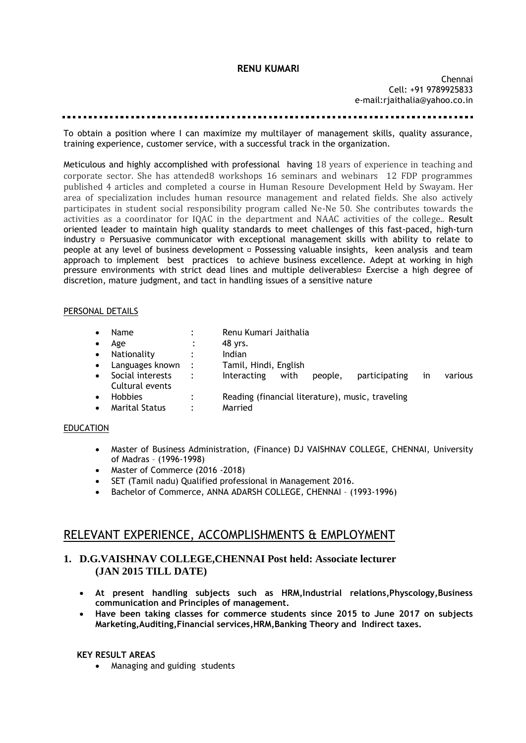## **RENU KUMARI**

Chennai Cell: +91 9789925833 e-mail:rjaithalia@yahoo.co.in

To obtain a position where I can maximize my multilayer of management skills, quality assurance, training experience, customer service, with a successful track in the organization.

Meticulous and highly accomplished with professional having 18 years of experience in teaching and corporate sector. She has attended8 workshops 16 seminars and webinars 12 FDP programmes published 4 articles and completed a course in Human Resoure Development Held by Swayam. Her area of specialization includes human resource management and related fields. She also actively participates in student social responsibility program called Ne-Ne 50. She contributes towards the activities as a coordinator for IQAC in the department and NAAC activities of the college.. Result oriented leader to maintain high quality standards to meet challenges of this fast-paced, high-turn industry  $\Box$  Persuasive communicator with exceptional management skills with ability to relate to people at any level of business development  $\Box$  Possessing valuable insights, keen analysis and team approach to implement best practices to achieve business excellence. Adept at working in high pressure environments with strict dead lines and multiple deliverables<sup>1</sup> Exercise a high degree of discretion, mature judgment, and tact in handling issues of a sensitive nature

## PERSONAL DETAILS

| $\bullet$<br>$\bullet$ | <b>Name</b><br>Age<br>Nationality<br>Languages known : | $\ddot{\phantom{a}}$<br>$\ddot{\cdot}$<br>$\ddot{\cdot}$ | Renu Kumari Jaithalia<br>48 vrs.<br>Indian<br>Tamil, Hindi, English |
|------------------------|--------------------------------------------------------|----------------------------------------------------------|---------------------------------------------------------------------|
| $\bullet$              | Social interests<br>Cultural events                    | $\ddot{\cdot}$                                           | Interacting<br>with<br>participating<br>people,<br>various<br>1n    |
| $\bullet$              | <b>Hobbies</b><br><b>Marital Status</b>                | $\ddot{\cdot}$<br>٠                                      | Reading (financial literature), music, traveling<br>Married         |

## EDUCATION

- Master of Business Administration, (Finance) DJ VAISHNAV COLLEGE, CHENNAI, University of Madras – (1996-1998)
- Master of Commerce (2016 -2018)
- SET (Tamil nadu) Qualified professional in Management 2016.
- Bachelor of Commerce, ANNA ADARSH COLLEGE, CHENNAI (1993-1996)

# RELEVANT EXPERIENCE, ACCOMPLISHMENTS & EMPLOYMENT

## **1. D.G.VAISHNAV COLLEGE,CHENNAI Post held: Associate lecturer (JAN 2015 TILL DATE)**

- **At present handling subjects such as HRM,Industrial relations,Physcology,Business communication and Principles of management.**
- **Have been taking classes for commerce students since 2015 to June 2017 on subjects Marketing,Auditing,Financial services,HRM,Banking Theory and Indirect taxes.**

## **KEY RESULT AREAS**

Managing and guiding students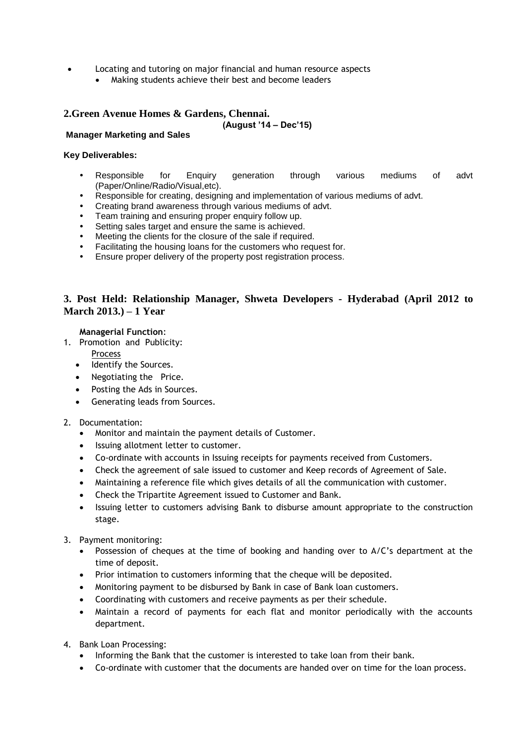- Locating and tutoring on major financial and human resource aspects
	- Making students achieve their best and become leaders

# **2.Green Avenue Homes & Gardens, Chennai.**

## **(August '14 – Dec'15)**

## **Manager Marketing and Sales**

#### **Key Deliverables:**

- Responsible for Enquiry generation through various mediums of advt (Paper/Online/Radio/Visual,etc).
- Responsible for creating, designing and implementation of various mediums of advt.
- Creating brand awareness through various mediums of advt.
- Team training and ensuring proper enquiry follow up.
- Setting sales target and ensure the same is achieved.
- Meeting the clients for the closure of the sale if required.
- Facilitating the housing loans for the customers who request for.
- Ensure proper delivery of the property post registration process.

## **3. Post Held: Relationship Manager, Shweta Developers - Hyderabad (April 2012 to March 2013.) – 1 Year**

## **Managerial Function**:

- 1. Promotion and Publicity:
	- Process
	- Identify the Sources.
	- Negotiating the Price.
	- Posting the Ads in Sources.
	- Generating leads from Sources.

## 2. Documentation:

- Monitor and maintain the payment details of Customer.
- Issuing allotment letter to customer.
- Co-ordinate with accounts in Issuing receipts for payments received from Customers.
- Check the agreement of sale issued to customer and Keep records of Agreement of Sale.
- Maintaining a reference file which gives details of all the communication with customer.
- Check the Tripartite Agreement issued to Customer and Bank.
- Issuing letter to customers advising Bank to disburse amount appropriate to the construction stage.
- 3. Payment monitoring:
	- Possession of cheques at the time of booking and handing over to A/C's department at the time of deposit.
	- Prior intimation to customers informing that the cheque will be deposited.
	- Monitoring payment to be disbursed by Bank in case of Bank loan customers.
	- Coordinating with customers and receive payments as per their schedule.
	- Maintain a record of payments for each flat and monitor periodically with the accounts department.
- 4. Bank Loan Processing:
	- Informing the Bank that the customer is interested to take loan from their bank.
	- Co-ordinate with customer that the documents are handed over on time for the loan process.